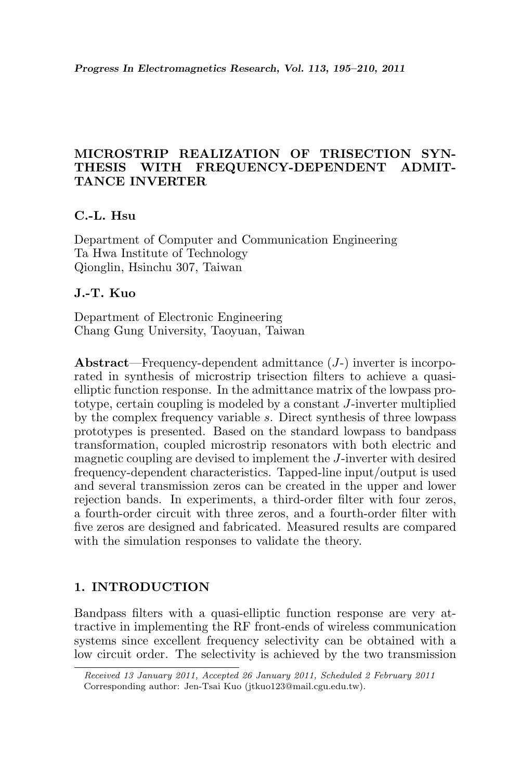## MICROSTRIP REALIZATION OF TRISECTION SYN-THESIS WITH FREQUENCY-DEPENDENT ADMIT-TANCE INVERTER

### C.-L. Hsu

Department of Computer and Communication Engineering Ta Hwa Institute of Technology Qionglin, Hsinchu 307, Taiwan

### J.-T. Kuo

Department of Electronic Engineering Chang Gung University, Taoyuan, Taiwan

Abstract—Frequency-dependent admittance (J-) inverter is incorporated in synthesis of microstrip trisection filters to achieve a quasielliptic function response. In the admittance matrix of the lowpass prototype, certain coupling is modeled by a constant J-inverter multiplied by the complex frequency variable s. Direct synthesis of three lowpass prototypes is presented. Based on the standard lowpass to bandpass transformation, coupled microstrip resonators with both electric and magnetic coupling are devised to implement the J-inverter with desired frequency-dependent characteristics. Tapped-line input/output is used and several transmission zeros can be created in the upper and lower rejection bands. In experiments, a third-order filter with four zeros, a fourth-order circuit with three zeros, and a fourth-order filter with five zeros are designed and fabricated. Measured results are compared with the simulation responses to validate the theory.

## 1. INTRODUCTION

Bandpass filters with a quasi-elliptic function response are very attractive in implementing the RF front-ends of wireless communication systems since excellent frequency selectivity can be obtained with a low circuit order. The selectivity is achieved by the two transmission

Received 13 January 2011, Accepted 26 January 2011, Scheduled 2 February 2011 Corresponding author: Jen-Tsai Kuo (jtkuo123@mail.cgu.edu.tw).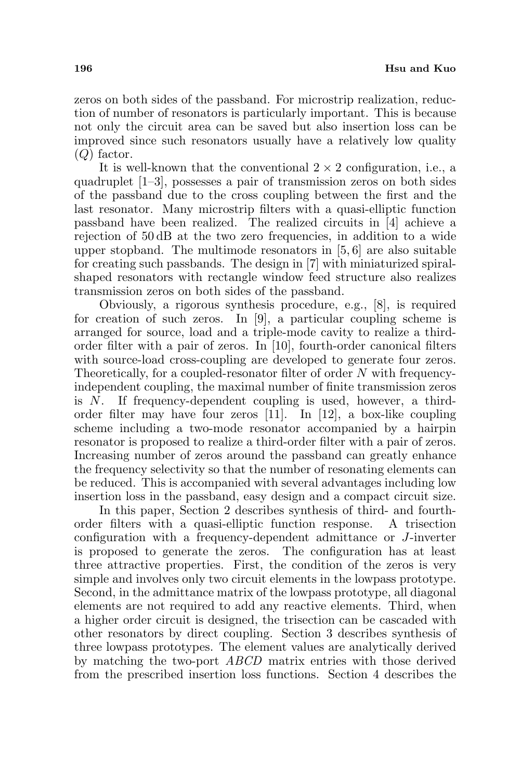zeros on both sides of the passband. For microstrip realization, reduction of number of resonators is particularly important. This is because not only the circuit area can be saved but also insertion loss can be improved since such resonators usually have a relatively low quality  $(Q)$  factor.

It is well-known that the conventional  $2 \times 2$  configuration, i.e., a quadruplet [1–3], possesses a pair of transmission zeros on both sides of the passband due to the cross coupling between the first and the last resonator. Many microstrip filters with a quasi-elliptic function passband have been realized. The realized circuits in [4] achieve a rejection of 50 dB at the two zero frequencies, in addition to a wide upper stopband. The multimode resonators in [5, 6] are also suitable for creating such passbands. The design in [7] with miniaturized spiralshaped resonators with rectangle window feed structure also realizes transmission zeros on both sides of the passband.

Obviously, a rigorous synthesis procedure, e.g., [8], is required for creation of such zeros. In [9], a particular coupling scheme is arranged for source, load and a triple-mode cavity to realize a thirdorder filter with a pair of zeros. In [10], fourth-order canonical filters with source-load cross-coupling are developed to generate four zeros. Theoretically, for a coupled-resonator filter of order N with frequencyindependent coupling, the maximal number of finite transmission zeros is N. If frequency-dependent coupling is used, however, a thirdorder filter may have four zeros [11]. In [12], a box-like coupling scheme including a two-mode resonator accompanied by a hairpin resonator is proposed to realize a third-order filter with a pair of zeros. Increasing number of zeros around the passband can greatly enhance the frequency selectivity so that the number of resonating elements can be reduced. This is accompanied with several advantages including low insertion loss in the passband, easy design and a compact circuit size.

In this paper, Section 2 describes synthesis of third- and fourthorder filters with a quasi-elliptic function response. A trisection configuration with a frequency-dependent admittance or J-inverter is proposed to generate the zeros. The configuration has at least three attractive properties. First, the condition of the zeros is very simple and involves only two circuit elements in the lowpass prototype. Second, in the admittance matrix of the lowpass prototype, all diagonal elements are not required to add any reactive elements. Third, when a higher order circuit is designed, the trisection can be cascaded with other resonators by direct coupling. Section 3 describes synthesis of three lowpass prototypes. The element values are analytically derived by matching the two-port ABCD matrix entries with those derived from the prescribed insertion loss functions. Section 4 describes the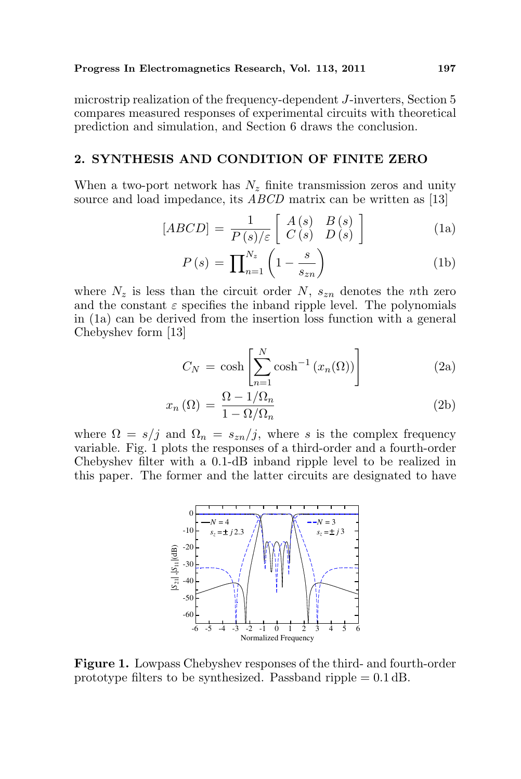microstrip realization of the frequency-dependent J-inverters, Section 5 compares measured responses of experimental circuits with theoretical prediction and simulation, and Section 6 draws the conclusion.

### 2. SYNTHESIS AND CONDITION OF FINITE ZERO

When a two-port network has  $N_z$  finite transmission zeros and unity source and load impedance, its *ABCD* matrix can be written as [13]

$$
[ABCD] = \frac{1}{P(s)/\varepsilon} \left[ \begin{array}{cc} A(s) & B(s) \\ C(s) & D(s) \end{array} \right] \tag{1a}
$$

$$
P(s) = \prod_{n=1}^{N_z} \left(1 - \frac{s}{s_{zn}}\right) \tag{1b}
$$

where  $N_z$  is less than the circuit order N,  $s_{zn}$  denotes the nth zero and the constant  $\varepsilon$  specifies the inband ripple level. The polynomials in (1a) can be derived from the insertion loss function with a general Chebyshev form [13]

$$
C_N = \cosh\left[\sum_{n=1}^N \cosh^{-1}\left(x_n(\Omega)\right)\right]
$$
 (2a)

$$
x_n\left(\Omega\right) = \frac{\Omega - 1/\Omega_n}{1 - \Omega/\Omega_n} \tag{2b}
$$

where  $\Omega = s/j$  and  $\Omega_n = s_{zn}/j$ , where s is the complex frequency variable. Fig. 1 plots the responses of a third-order and a fourth-order Chebyshev filter with a 0.1-dB inband ripple level to be realized in this paper. The former and the latter circuits are designated to have



Figure 1. Lowpass Chebyshev responses of the third- and fourth-order prototype filters to be synthesized. Passband ripple  $= 0.1$  dB.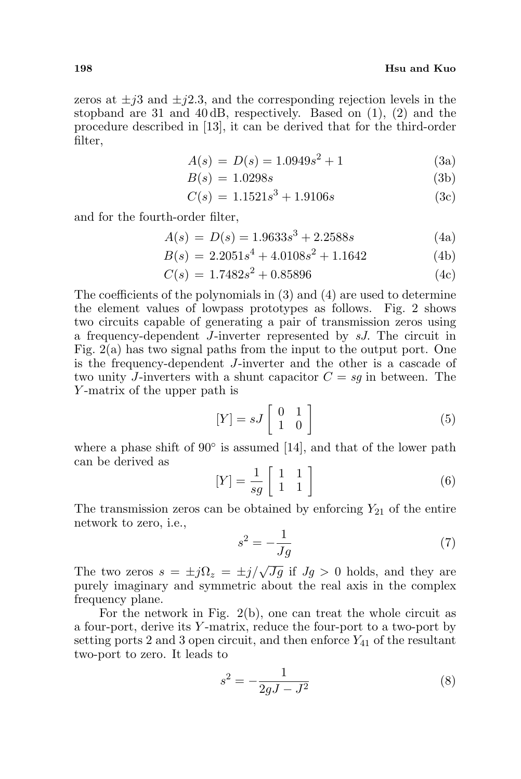zeros at  $\pm i3$  and  $\pm i2.3$ , and the corresponding rejection levels in the stopband are 31 and 40 dB, respectively. Based on (1), (2) and the procedure described in [13], it can be derived that for the third-order filter,

$$
A(s) = D(s) = 1.0949s^2 + 1 \tag{3a}
$$

$$
B(s) = 1.0298s\tag{3b}
$$

$$
C(s) = 1.1521s3 + 1.9106s
$$
 (3c)

and for the fourth-order filter,

$$
A(s) = D(s) = 1.9633s3 + 2.2588s
$$
 (4a)

$$
B(s) = 2.2051s4 + 4.0108s2 + 1.1642
$$
 (4b)

$$
C(s) = 1.7482s^2 + 0.85896\tag{4c}
$$

The coefficients of the polynomials in (3) and (4) are used to determine the element values of lowpass prototypes as follows. Fig. 2 shows two circuits capable of generating a pair of transmission zeros using a frequency-dependent J-inverter represented by sJ. The circuit in Fig. 2(a) has two signal paths from the input to the output port. One is the frequency-dependent J-inverter and the other is a cascade of two unity J-inverters with a shunt capacitor  $C = sq$  in between. The Y -matrix of the upper path is

$$
[Y] = sJ \begin{bmatrix} 0 & 1 \\ 1 & 0 \end{bmatrix}
$$
 (5)

where a phase shift of  $90^\circ$  is assumed [14], and that of the lower path can be derived as

$$
[Y] = \frac{1}{sg} \left[ \begin{array}{cc} 1 & 1 \\ 1 & 1 \end{array} \right] \tag{6}
$$

The transmission zeros can be obtained by enforcing  $Y_{21}$  of the entire network to zero, i.e.,

$$
s^2 = -\frac{1}{Jg} \tag{7}
$$

The two zeros  $s = \pm j\Omega_z = \pm j/\sqrt{Jg}$  if  $Jg > 0$  holds, and they are purely imaginary and symmetric about the real axis in the complex frequency plane.

For the network in Fig. 2(b), one can treat the whole circuit as a four-port, derive its Y -matrix, reduce the four-port to a two-port by setting ports 2 and 3 open circuit, and then enforce  $Y_{41}$  of the resultant two-port to zero. It leads to

$$
s^2 = -\frac{1}{2gJ - J^2} \tag{8}
$$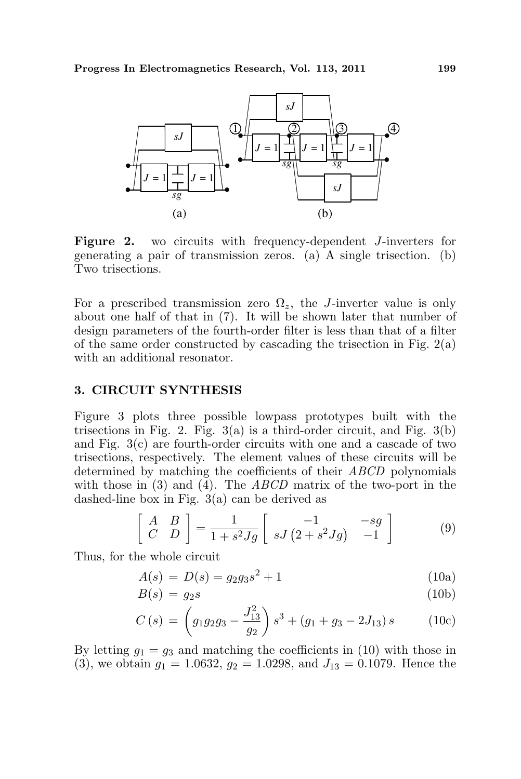

Figure 2. wo circuits with frequency-dependent J-inverters for generating a pair of transmission zeros. (a) A single trisection. (b) Two trisections.

For a prescribed transmission zero  $\Omega_z$ , the J-inverter value is only about one half of that in (7). It will be shown later that number of design parameters of the fourth-order filter is less than that of a filter of the same order constructed by cascading the trisection in Fig.  $2(a)$ with an additional resonator.

### 3. CIRCUIT SYNTHESIS

Figure 3 plots three possible lowpass prototypes built with the trisections in Fig. 2. Fig.  $3(a)$  is a third-order circuit, and Fig.  $3(b)$ and Fig. 3(c) are fourth-order circuits with one and a cascade of two trisections, respectively. The element values of these circuits will be determined by matching the coefficients of their ABCD polynomials with those in (3) and (4). The *ABCD* matrix of the two-port in the dashed-line box in Fig. 3(a) can be derived as

$$
\left[\begin{array}{cc} A & B \\ C & D \end{array}\right] = \frac{1}{1 + s^2 Jg} \left[\begin{array}{cc} -1 & -sg \\ sJ\left(2 + s^2 Jg\right) & -1 \end{array}\right] \tag{9}
$$

Thus, for the whole circuit

$$
A(s) = D(s) = g_2 g_3 s^2 + 1 \tag{10a}
$$

$$
B(s) = g_2 s \tag{10b}
$$

$$
C(s) = \left(g_1 g_2 g_3 - \frac{J_{13}^2}{g_2}\right) s^3 + \left(g_1 + g_3 - 2J_{13}\right)s \tag{10c}
$$

By letting  $g_1 = g_3$  and matching the coefficients in (10) with those in (3), we obtain  $g_1 = 1.0632$ ,  $g_2 = 1.0298$ , and  $J_{13} = 0.1079$ . Hence the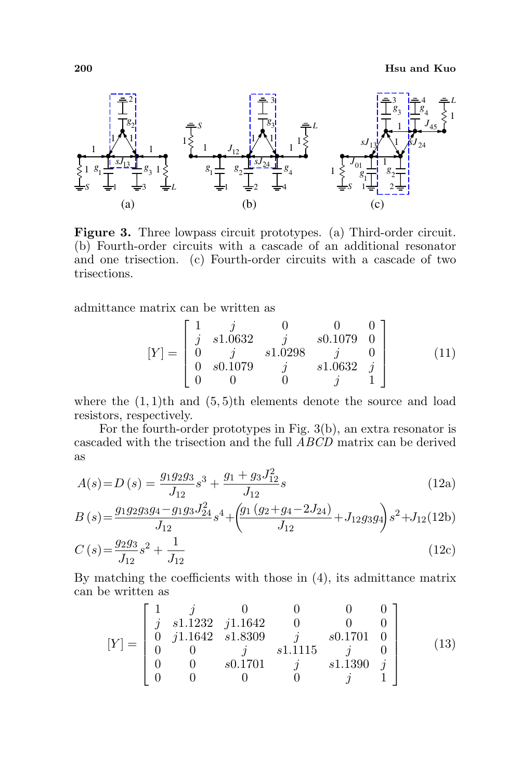

Figure 3. Three lowpass circuit prototypes. (a) Third-order circuit. (b) Fourth-order circuits with a cascade of an additional resonator and one trisection. (c) Fourth-order circuits with a cascade of two trisections.

admittance matrix can be written as

$$
[Y] = \begin{bmatrix} 1 & j & 0 & 0 & 0 \\ j & s1.0632 & j & s0.1079 & 0 \\ 0 & j & s1.0298 & j & 0 \\ 0 & s0.1079 & j & s1.0632 & j \\ 0 & 0 & 0 & j & 1 \end{bmatrix}
$$
(11)

where the  $(1, 1)$ th and  $(5, 5)$ th elements denote the source and load resistors, respectively.

For the fourth-order prototypes in Fig. 3(b), an extra resonator is cascaded with the trisection and the full ABCD matrix can be derived as

$$
A(s) = D(s) = \frac{g_1 g_2 g_3}{J_{12}} s^3 + \frac{g_1 + g_3 J_{12}^2}{J_{12}} s
$$
\n(12a)

$$
B(s) = \frac{g_1 g_2 g_3 g_4 - g_1 g_3 J_{24}^2}{J_{12}} s^4 + \left(\frac{g_1 (g_2 + g_4 - 2 J_{24})}{J_{12}} + J_{12} g_3 g_4\right) s^2 + J_{12}(12b)
$$
  
\n
$$
C(s) = \frac{g_2 g_3}{J_{12}} s^2 + \frac{1}{J_{12}}
$$
\n(12c)

By matching the coefficients with those in (4), its admittance matrix can be written as  $\overline{a}$ 

$$
[Y] = \begin{bmatrix} 1 & j & 0 & 0 & 0 & 0 \\ j & s1.1232 & j1.1642 & 0 & 0 & 0 \\ 0 & j1.1642 & s1.8309 & j & s0.1701 & 0 \\ 0 & 0 & j & s1.1115 & j & 0 \\ 0 & 0 & s0.1701 & j & s1.1390 & j \\ 0 & 0 & 0 & 0 & j & 1 \end{bmatrix}
$$
(13)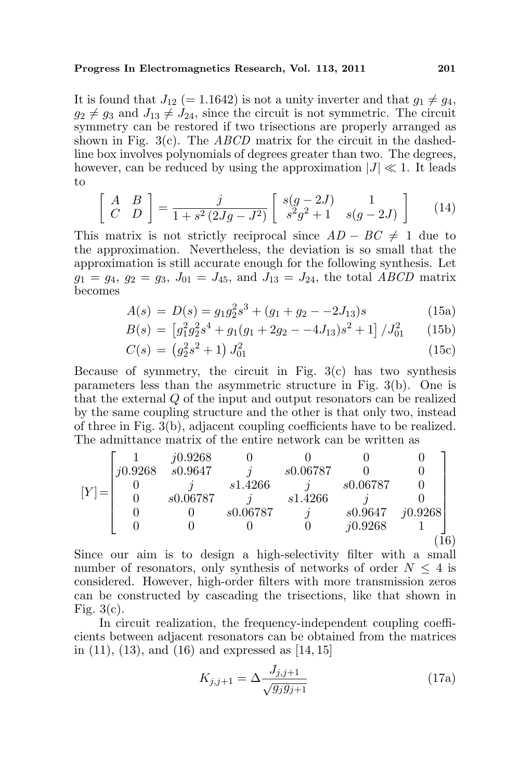#### Progress In Electromagnetics Research, Vol. 113, 2011 201

It is found that  $J_{12}$  (= 1.1642) is not a unity inverter and that  $g_1 \neq g_4$ ,  $g_2 \neq g_3$  and  $J_{13} \neq J_{24}$ , since the circuit is not symmetric. The circuit symmetry can be restored if two trisections are properly arranged as shown in Fig. 3(c). The ABCD matrix for the circuit in the dashedline box involves polynomials of degrees greater than two. The degrees, however, can be reduced by using the approximation  $|J| \ll 1$ . It leads to · ·  $\overline{a}$ 

$$
\begin{bmatrix} A & B \\ C & D \end{bmatrix} = \frac{j}{1 + s^2 (2Jg - J^2)} \begin{bmatrix} s(g - 2J) & 1 \\ s^2 g^2 + 1 & s(g - 2J) \end{bmatrix}
$$
 (14)

This matrix is not strictly reciprocal since  $AD - BC \neq 1$  due to the approximation. Nevertheless, the deviation is so small that the approximation is still accurate enough for the following synthesis. Let  $g_1 = g_4, g_2 = g_3, J_{01} = J_{45}$ , and  $J_{13} = J_{24}$ , the total ABCD matrix becomes

$$
A(s) = D(s) = g_1 g_2^2 s^3 + (g_1 + g_2 - 2J_{13})s \tag{15a}
$$

$$
B(s) = \left[g_1^2 g_2^2 s^4 + g_1 (g_1 + 2g_2 - 4J_{13}) s^2 + 1\right] / J_{01}^2 \tag{15b}
$$

$$
C(s) = (g_2^2 s^2 + 1) J_{01}^2
$$
 (15c)

Because of symmetry, the circuit in Fig.  $3(c)$  has two synthesis parameters less than the asymmetric structure in Fig. 3(b). One is that the external Q of the input and output resonators can be realized by the same coupling structure and the other is that only two, instead of three in Fig. 3(b), adjacent coupling coefficients have to be realized. The admittance matrix of the entire network can be written as

$$
[Y] = \begin{bmatrix} 1 & j0.9268 & 0 & 0 & 0 & 0 \\ j0.9268 & s0.9647 & j & s0.06787 & 0 & 0 \\ 0 & j & s1.4266 & j & s0.06787 & 0 \\ 0 & s0.06787 & j & s1.4266 & j & 0 \\ 0 & 0 & s0.06787 & j & s0.9647 & j0.9268 \\ 0 & 0 & 0 & 0 & j0.9268 & 1 \end{bmatrix}
$$
 (16)

Since our aim is to design a high-selectivity filter with a small number of resonators, only synthesis of networks of order  $N \leq 4$  is considered. However, high-order filters with more transmission zeros can be constructed by cascading the trisections, like that shown in Fig.  $3(c)$ .

In circuit realization, the frequency-independent coupling coefficients between adjacent resonators can be obtained from the matrices in (11), (13), and (16) and expressed as [14, 15]

$$
K_{j,j+1} = \Delta \frac{J_{j,j+1}}{\sqrt{g_j g_{j+1}}} \tag{17a}
$$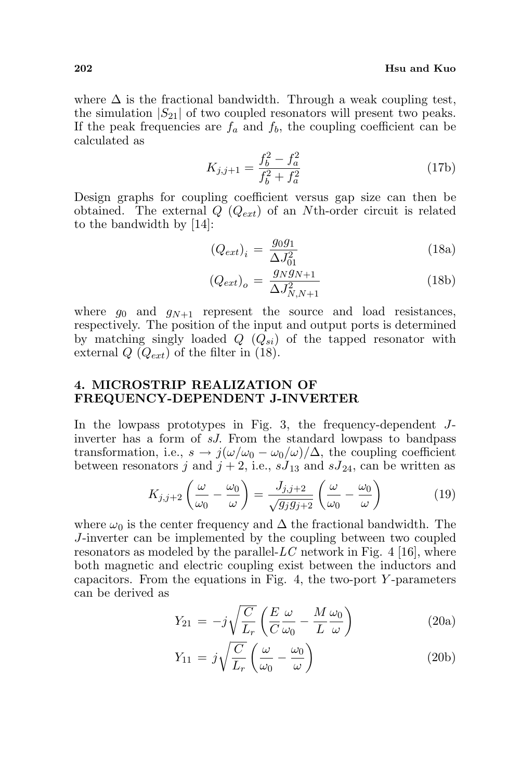where  $\Delta$  is the fractional bandwidth. Through a weak coupling test, the simulation  $|S_{21}|$  of two coupled resonators will present two peaks. If the peak frequencies are  $f_a$  and  $f_b$ , the coupling coefficient can be calculated as

$$
K_{j,j+1} = \frac{f_b^2 - f_a^2}{f_b^2 + f_a^2}
$$
 (17b)

Design graphs for coupling coefficient versus gap size can then be obtained. The external  $Q(Q_{ext})$  of an Nth-order circuit is related to the bandwidth by [14]:

$$
(Q_{ext})_i = \frac{g_0 g_1}{\Delta J_{01}^2} \tag{18a}
$$

$$
(Q_{ext})_o = \frac{g_N g_{N+1}}{\Delta J_{N,N+1}^2}
$$
 (18b)

where  $g_0$  and  $g_{N+1}$  represent the source and load resistances, respectively. The position of the input and output ports is determined by matching singly loaded  $Q(Q_{si})$  of the tapped resonator with external  $Q(\overline{Q}_{ext})$  of the filter in (18).

## 4. MICROSTRIP REALIZATION OF FREQUENCY-DEPENDENT J-INVERTER

In the lowpass prototypes in Fig. 3, the frequency-dependent Jinverter has a form of sJ. From the standard lowpass to bandpass transformation, i.e.,  $s \to j(\omega/\omega_0 - \omega_0/\omega)/\Delta$ , the coupling coefficient between resonators j and  $j + 2$ , i.e.,  $sJ_{13}$  and  $sJ_{24}$ , can be written as

$$
K_{j,j+2}\left(\frac{\omega}{\omega_0}-\frac{\omega_0}{\omega}\right)=\frac{J_{j,j+2}}{\sqrt{g_jg_{j+2}}}\left(\frac{\omega}{\omega_0}-\frac{\omega_0}{\omega}\right) \tag{19}
$$

where  $\omega_0$  is the center frequency and  $\Delta$  the fractional bandwidth. The J-inverter can be implemented by the coupling between two coupled resonators as modeled by the parallel- $LC$  network in Fig. 4 [16], where both magnetic and electric coupling exist between the inductors and capacitors. From the equations in Fig. 4, the two-port  $Y$ -parameters can be derived as r

$$
Y_{21} = -j\sqrt{\frac{C}{L_r}} \left( \frac{E}{C} \frac{\omega}{\omega_0} - \frac{M}{L} \frac{\omega_0}{\omega} \right)
$$
 (20a)

$$
Y_{11} = j\sqrt{\frac{C}{L_r}} \left(\frac{\omega}{\omega_0} - \frac{\omega_0}{\omega}\right)
$$
 (20b)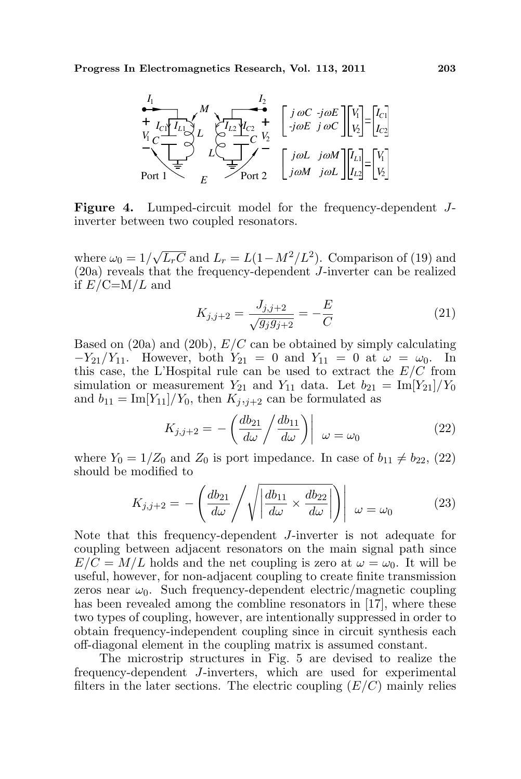

Figure 4. Lumped-circuit model for the frequency-dependent Jinverter between two coupled resonators.

where  $\omega_0 = 1/$  $\sqrt{L_rC}$  and  $L_r = L(1 - M^2/L^2)$ . Comparison of (19) and (20a) reveals that the frequency-dependent J-inverter can be realized if  $E/C=M/L$  and

$$
K_{j,j+2} = \frac{J_{j,j+2}}{\sqrt{g_j g_{j+2}}} = -\frac{E}{C}
$$
\n(21)

Based on  $(20a)$  and  $(20b)$ ,  $E/C$  can be obtained by simply calculating  $-Y_{21}/Y_{11}$ . However, both  $Y_{21} = 0$  and  $Y_{11} = 0$  at  $\omega = \omega_0$ . In this case, the L'Hospital rule can be used to extract the  $E/C$  from simulation or measurement  $Y_{21}$  and  $Y_{11}$  data. Let  $b_{21} = \text{Im}[Y_{21}]/Y_0$ and  $b_{11} = \text{Im}[Y_{11}]/Y_0$ , then  $K_{j,j+2}$  can be formulated as

$$
K_{j,j+2} = -\left(\frac{db_{21}}{d\omega} / \frac{db_{11}}{d\omega}\right) \mid \omega = \omega_0 \tag{22}
$$

where  $Y_0 = 1/Z_0$  and  $Z_0$  is port impedance. In case of  $b_{11} \neq b_{22}$ , (22) should be modified to  $\overline{a}$  $\frac{1}{2}$ 

$$
K_{j,j+2} = -\left(\frac{db_{21}}{d\omega} \left/ \sqrt{\left| \frac{db_{11}}{d\omega} \times \frac{db_{22}}{d\omega} \right|} \right)\right| \quad \omega = \omega_0 \tag{23}
$$

Note that this frequency-dependent J-inverter is not adequate for coupling between adjacent resonators on the main signal path since  $E/C = M/L$  holds and the net coupling is zero at  $\omega = \omega_0$ . It will be useful, however, for non-adjacent coupling to create finite transmission zeros near  $\omega_0$ . Such frequency-dependent electric/magnetic coupling has been revealed among the combline resonators in [17], where these two types of coupling, however, are intentionally suppressed in order to obtain frequency-independent coupling since in circuit synthesis each off-diagonal element in the coupling matrix is assumed constant.

The microstrip structures in Fig. 5 are devised to realize the frequency-dependent J-inverters, which are used for experimental filters in the later sections. The electric coupling  $(E/C)$  mainly relies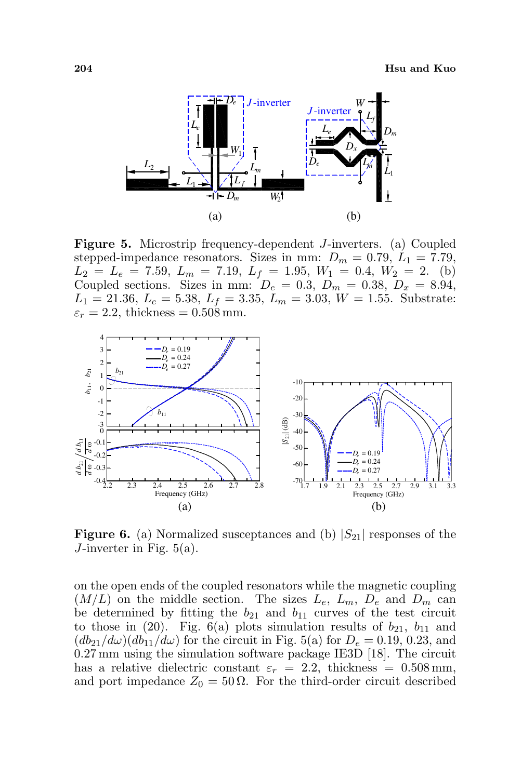

Figure 5. Microstrip frequency-dependent J-inverters. (a) Coupled stepped-impedance resonators. Sizes in mm:  $D_m = 0.79, L_1 = 7.79,$  $L_2 = L_e = 7.59, L_m = 7.19, L_f = 1.95, W_1 = 0.4, W_2 = 2.$  (b) Coupled sections. Sizes in mm:  $D_e = 0.3$ ,  $D_m = 0.38$ ,  $D_x = 8.94$ ,  $L_1 = 21.36, L_e = 5.38, L_f = 3.35, L_m = 3.03, W = 1.55$ . Substrate:  $\varepsilon_r = 2.2$ , thickness = 0.508 mm.



**Figure 6.** (a) Normalized susceptances and (b)  $|S_{21}|$  responses of the J-inverter in Fig. 5(a).

on the open ends of the coupled resonators while the magnetic coupling  $(M/L)$  on the middle section. The sizes  $L_e$ ,  $L_m$ ,  $D_e$  and  $D_m$  can be determined by fitting the  $b_{21}$  and  $b_{11}$  curves of the test circuit to those in (20). Fig. 6(a) plots simulation results of  $b_{21}$ ,  $b_{11}$  and  $(db_{21}/d\omega)(db_{11}/d\omega)$  for the circuit in Fig. 5(a) for  $D_e = 0.19, 0.23,$  and 0.27 mm using the simulation software package IE3D [18]. The circuit has a relative dielectric constant  $\varepsilon_r = 2.2$ , thickness = 0.508 mm, and port impedance  $Z_0 = 50 \Omega$ . For the third-order circuit described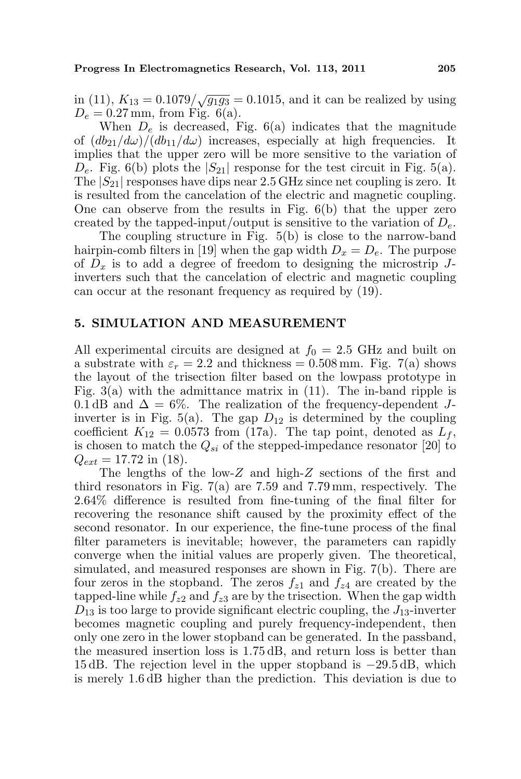in (11),  $K_{13} = 0.1079/\sqrt{g_1 g_3} = 0.1015$ , and it can be realized by using  $D_e = 0.27$  mm, from Fig. 6(a).

When  $D_e$  is decreased, Fig. 6(a) indicates that the magnitude of  $(db_{21}/d\omega)/(db_{11}/d\omega)$  increases, especially at high frequencies. It implies that the upper zero will be more sensitive to the variation of  $D_e$ . Fig. 6(b) plots the  $|S_{21}|$  response for the test circuit in Fig. 5(a). The  $|S_{21}|$  responses have dips near 2.5 GHz since net coupling is zero. It is resulted from the cancelation of the electric and magnetic coupling. One can observe from the results in Fig. 6(b) that the upper zero created by the tapped-input/output is sensitive to the variation of  $D_e$ .

The coupling structure in Fig. 5(b) is close to the narrow-band hairpin-comb filters in [19] when the gap width  $D_x = D_e$ . The purpose of  $D_x$  is to add a degree of freedom to designing the microstrip Jinverters such that the cancelation of electric and magnetic coupling can occur at the resonant frequency as required by (19).

#### 5. SIMULATION AND MEASUREMENT

All experimental circuits are designed at  $f_0 = 2.5$  GHz and built on a substrate with  $\varepsilon_r = 2.2$  and thickness = 0.508 mm. Fig. 7(a) shows the layout of the trisection filter based on the lowpass prototype in Fig. 3(a) with the admittance matrix in (11). The in-band ripple is 0.1 dB and  $\Delta = 6\%$ . The realization of the frequency-dependent Jinverter is in Fig. 5(a). The gap  $D_{12}$  is determined by the coupling coefficient  $K_{12} = 0.0573$  from (17a). The tap point, denoted as  $L_f$ , is chosen to match the  $Q_{si}$  of the stepped-impedance resonator [20] to  $Q_{ext} = 17.72$  in (18).

The lengths of the low-Z and high-Z sections of the first and third resonators in Fig. 7(a) are 7.59 and 7.79 mm, respectively. The 2.64% difference is resulted from fine-tuning of the final filter for recovering the resonance shift caused by the proximity effect of the second resonator. In our experience, the fine-tune process of the final filter parameters is inevitable; however, the parameters can rapidly converge when the initial values are properly given. The theoretical, simulated, and measured responses are shown in Fig. 7(b). There are four zeros in the stopband. The zeros  $f_{z1}$  and  $f_{z4}$  are created by the tapped-line while  $f_{z2}$  and  $f_{z3}$  are by the trisection. When the gap width  $D_{13}$  is too large to provide significant electric coupling, the  $J_{13}$ -inverter becomes magnetic coupling and purely frequency-independent, then only one zero in the lower stopband can be generated. In the passband, the measured insertion loss is 1.75 dB, and return loss is better than 15 dB. The rejection level in the upper stopband is −29.5 dB, which is merely 1.6 dB higher than the prediction. This deviation is due to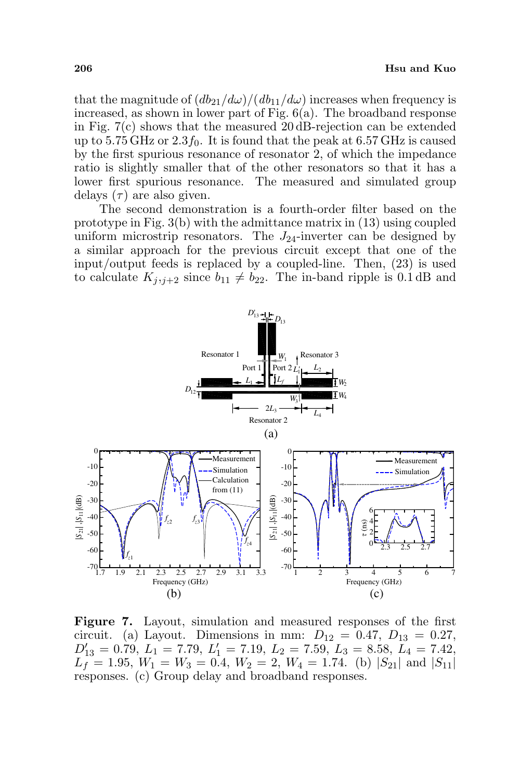that the magnitude of  $\left(\frac{db_{21}}{dw}\right)/\left(\frac{db_{11}}{dw}\right)$  increases when frequency is increased, as shown in lower part of Fig.  $6(a)$ . The broadband response in Fig. 7(c) shows that the measured 20 dB-rejection can be extended up to 5.75 GHz or 2.3 $f_0$ . It is found that the peak at 6.57 GHz is caused by the first spurious resonance of resonator 2, of which the impedance ratio is slightly smaller that of the other resonators so that it has a lower first spurious resonance. The measured and simulated group delays  $(\tau)$  are also given.

The second demonstration is a fourth-order filter based on the prototype in Fig. 3(b) with the admittance matrix in (13) using coupled uniform microstrip resonators. The  $J_{24}$ -inverter can be designed by a similar approach for the previous circuit except that one of the input/output feeds is replaced by a coupled-line. Then, (23) is used to calculate  $K_{j},_{j+2}$  since  $b_{11} \neq b_{22}$ . The in-band ripple is 0.1 dB and



Figure 7. Layout, simulation and measured responses of the first circuit. (a) Layout. Dimensions in mm:  $D_{12} = 0.47, D_{13} = 0.27,$  $D'_{13} = 0.79, L_1 = 7.79, L'_1 = 7.19, L_2 = 7.59, L_3 = 8.58, L_4 = 7.42,$  $L_f = 1.95, W_1 = W_3 = 0.4, W_2 = 2, W_4 = 1.74.$  (b)  $|S_{21}|$  and  $|S_{11}|$ responses. (c) Group delay and broadband responses.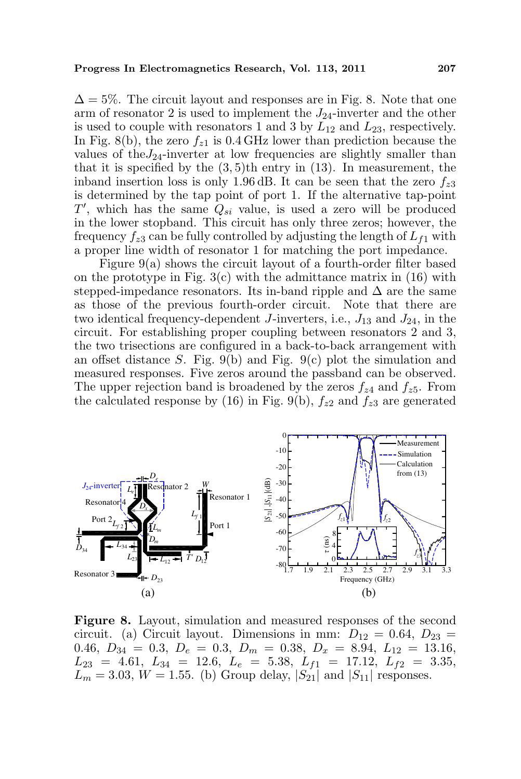$\Delta = 5\%$ . The circuit layout and responses are in Fig. 8. Note that one arm of resonator 2 is used to implement the  $J_{24}$ -inverter and the other is used to couple with resonators 1 and 3 by  $L_{12}$  and  $L_{23}$ , respectively. In Fig. 8(b), the zero  $f_{z1}$  is 0.4 GHz lower than prediction because the values of the  $J_{24}$ -inverter at low frequencies are slightly smaller than that it is specified by the  $(3, 5)$ th entry in  $(13)$ . In measurement, the inband insertion loss is only 1.96 dB. It can be seen that the zero  $f_{z3}$ is determined by the tap point of port 1. If the alternative tap-point  $T'$ , which has the same  $Q_{si}$  value, is used a zero will be produced in the lower stopband. This circuit has only three zeros; however, the frequency  $f_{z3}$  can be fully controlled by adjusting the length of  $L_{f1}$  with a proper line width of resonator 1 for matching the port impedance.

Figure 9(a) shows the circuit layout of a fourth-order filter based on the prototype in Fig.  $3(c)$  with the admittance matrix in (16) with stepped-impedance resonators. Its in-band ripple and  $\Delta$  are the same as those of the previous fourth-order circuit. Note that there are two identical frequency-dependent J-inverters, i.e.,  $J_{13}$  and  $J_{24}$ , in the circuit. For establishing proper coupling between resonators 2 and 3, the two trisections are configured in a back-to-back arrangement with an offset distance S. Fig. 9(b) and Fig. 9(c) plot the simulation and measured responses. Five zeros around the passband can be observed. The upper rejection band is broadened by the zeros  $f_{z4}$  and  $f_{z5}$ . From the calculated response by (16) in Fig. 9(b),  $f_{z2}$  and  $f_{z3}$  are generated



Figure 8. Layout, simulation and measured responses of the second circuit. (a) Circuit layout. Dimensions in mm:  $D_{12} = 0.64, D_{23} =$ 0.46,  $D_{34} = 0.3$ ,  $D_e = 0.3$ ,  $D_m = 0.38$ ,  $D_x = 8.94$ ,  $L_{12} = 13.16$ ,  $L_{23}$  = 4.61,  $L_{34}$  = 12.6,  $L_e$  = 5.38,  $L_{f1}$  = 17.12,  $L_{f2}$  = 3.35,  $L_m = 3.03, W = 1.55$ . (b) Group delay,  $|S_{21}|$  and  $|S_{11}|$  responses.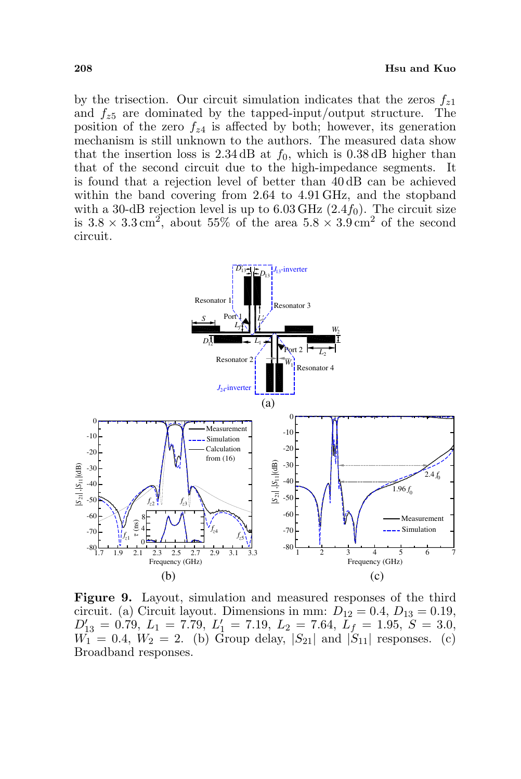by the trisection. Our circuit simulation indicates that the zeros  $f_{z1}$ and  $f_{z5}$  are dominated by the tapped-input/output structure. The position of the zero  $f_{z4}$  is affected by both; however, its generation mechanism is still unknown to the authors. The measured data show that the insertion loss is 2.34 dB at  $f_0$ , which is 0.38 dB higher than that of the second circuit due to the high-impedance segments. It is found that a rejection level of better than 40 dB can be achieved within the band covering from 2.64 to 4.91 GHz, and the stopband with a 30-dB rejection level is up to  $6.03$  GHz  $(2.4f_0)$ . The circuit size is  $3.8 \times 3.3 \text{ cm}^2$ , about  $55\%$  of the area  $5.8 \times 3.9 \text{ cm}^2$  of the second circuit.



Figure 9. Layout, simulation and measured responses of the third circuit. (a) Circuit layout. Dimensions in mm:  $D_{12} = 0.4, D_{13} = 0.19,$  $D'_{13} = 0.79, L_1 = 7.79, L'_1 = 7.19, L_2 = 7.64, L_f = 1.95, S = 3.0,$  $W_1 = 0.4, W_2 = 2.$  (b) Group delay,  $|S_{21}|$  and  $|S_{11}|$  responses. (c) Broadband responses.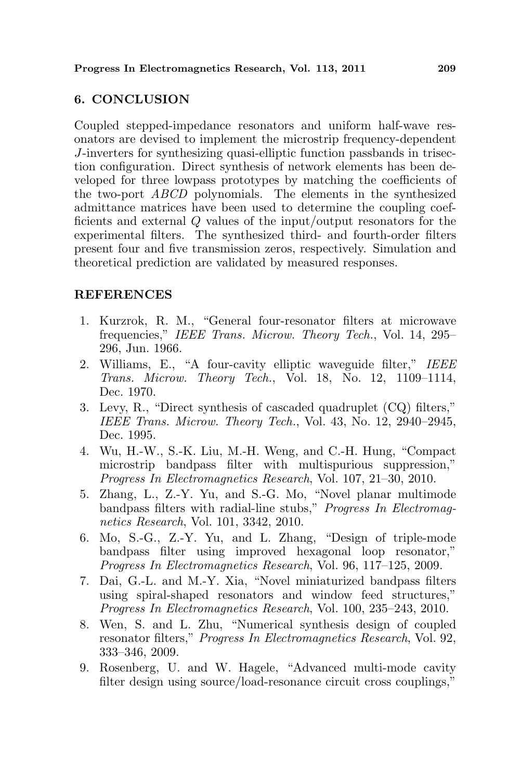# 6. CONCLUSION

Coupled stepped-impedance resonators and uniform half-wave resonators are devised to implement the microstrip frequency-dependent J-inverters for synthesizing quasi-elliptic function passbands in trisection configuration. Direct synthesis of network elements has been developed for three lowpass prototypes by matching the coefficients of the two-port ABCD polynomials. The elements in the synthesized admittance matrices have been used to determine the coupling coefficients and external Q values of the input/output resonators for the experimental filters. The synthesized third- and fourth-order filters present four and five transmission zeros, respectively. Simulation and theoretical prediction are validated by measured responses.

## **REFERENCES**

- 1. Kurzrok, R. M., "General four-resonator filters at microwave frequencies," IEEE Trans. Microw. Theory Tech., Vol. 14, 295– 296, Jun. 1966.
- 2. Williams, E., "A four-cavity elliptic waveguide filter," IEEE Trans. Microw. Theory Tech., Vol. 18, No. 12, 1109–1114, Dec. 1970.
- 3. Levy, R., "Direct synthesis of cascaded quadruplet (CQ) filters," IEEE Trans. Microw. Theory Tech., Vol. 43, No. 12, 2940–2945, Dec. 1995.
- 4. Wu, H.-W., S.-K. Liu, M.-H. Weng, and C.-H. Hung, "Compact microstrip bandpass filter with multispurious suppression," Progress In Electromagnetics Research, Vol. 107, 21–30, 2010.
- 5. Zhang, L., Z.-Y. Yu, and S.-G. Mo, "Novel planar multimode bandpass filters with radial-line stubs," Progress In Electromagnetics Research, Vol. 101, 3342, 2010.
- 6. Mo, S.-G., Z.-Y. Yu, and L. Zhang, "Design of triple-mode bandpass filter using improved hexagonal loop resonator," Progress In Electromagnetics Research, Vol. 96, 117–125, 2009.
- 7. Dai, G.-L. and M.-Y. Xia, "Novel miniaturized bandpass filters using spiral-shaped resonators and window feed structures," Progress In Electromagnetics Research, Vol. 100, 235–243, 2010.
- 8. Wen, S. and L. Zhu, "Numerical synthesis design of coupled resonator filters," Progress In Electromagnetics Research, Vol. 92, 333–346, 2009.
- 9. Rosenberg, U. and W. Hagele, "Advanced multi-mode cavity filter design using source/load-resonance circuit cross couplings,"